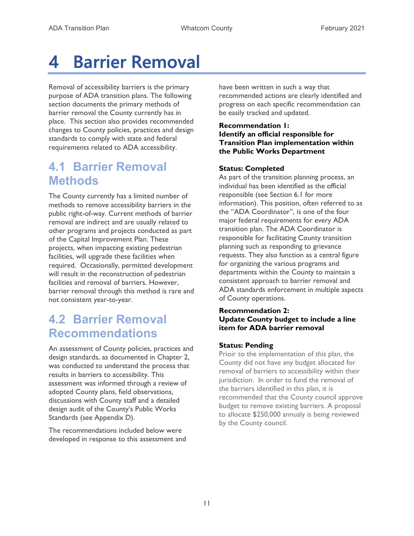# 4 Barrier Removal

Removal of accessibility barriers is the primary purpose of ADA transition plans. The following section documents the primary methods of barrier removal the County currently has in place. This section also provides recommended changes to County policies, practices and design standards to comply with state and federal requirements related to ADA accessibility.

# 4.1 Barrier Removal Methods

The County currently has a limited number of methods to remove accessibility barriers in the public right-of-way. Current methods of barrier removal are indirect and are usually related to other programs and projects conducted as part of the Capital Improvement Plan. These projects, when impacting existing pedestrian facilities, will upgrade these facilities when required. Occasionally, permitted development will result in the reconstruction of pedestrian facilities and removal of barriers. However, barrier removal through this method is rare and not consistent year-to-year.

# 4.2 Barrier Removal Recommendations

An assessment of County policies, practices and design standards, as documented in Chapter 2, was conducted to understand the process that results in barriers to accessibility. This assessment was informed through a review of adopted County plans, field observations, discussions with County staff and a detailed design audit of the County's Public Works Standards (see Appendix D).

The recommendations included below were developed in response to this assessment and have been written in such a way that recommended actions are clearly identified and progress on each specific recommendation can be easily tracked and updated.

# Recommendation 1: Identify an official responsible for Transition Plan implementation within the Public Works Department

# Status: Completed

As part of the transition planning process, an individual has been identified as the official responsible (see Section 6.1 for more information). This position, often referred to as the "ADA Coordinator", is one of the four major federal requirements for every ADA transition plan. The ADA Coordinator is responsible for facilitating County transition planning such as responding to grievance requests. They also function as a central figure for organizing the various programs and departments within the County to maintain a consistent approach to barrier removal and ADA standards enforcement in multiple aspects of County operations.

# Recommendation 2: Update County budget to include a line item for ADA barrier removal

# Status: Pending

Prioir to the implementation of this plan, the County did not have any budget allocated for removal of barriers to accessibility within their jurisdiction. In order to fund the removal of the barriers identified in this plan, it is recommended that the County council approve budget to remove existing barriers. A proposal to allocate \$250,000 annualy is being reviewed by the County council.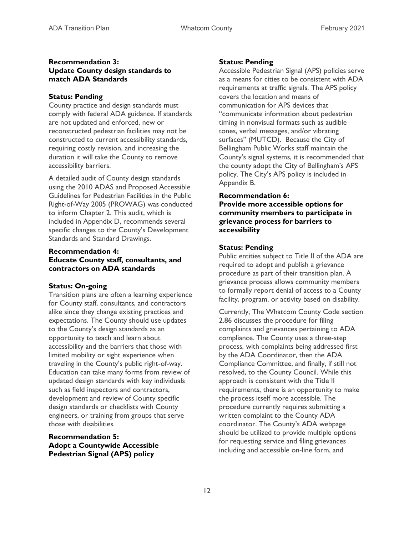#### Recommendation 3: Update County design standards to match ADA Standards

#### Status: Pending

County practice and design standards must comply with federal ADA guidance. If standards are not updated and enforced, new or reconstructed pedestrian facilities may not be constructed to current accessibility standards, requiring costly revision, and increasing the duration it will take the County to remove accessibility barriers.

A detailed audit of County design standards using the 2010 ADAS and Proposed Accessible Guidelines for Pedestrian Facilities in the Public Right-of-Way 2005 (PROWAG) was conducted to inform Chapter 2. This audit, which is included in Appendix D, recommends several specific changes to the County's Development Standards and Standard Drawings.

# Recommendation 4: Educate County staff, consultants, and contractors on ADA standards

#### Status: On-going

Transition plans are often a learning experience for County staff, consultants, and contractors alike since they change existing practices and expectations. The County should use updates to the County's design standards as an opportunity to teach and learn about accessibility and the barriers that those with limited mobility or sight experience when traveling in the County's public right-of-way. Education can take many forms from review of updated design standards with key individuals such as field inspectors and contractors, development and review of County specific design standards or checklists with County engineers, or training from groups that serve those with disabilities.

# Recommendation 5: Adopt a Countywide Accessible Pedestrian Signal (APS) policy

#### Status: Pending

Accessible Pedestrian Signal (APS) policies serve as a means for cities to be consistent with ADA requirements at traffic signals. The APS policy covers the location and means of communication for APS devices that "communicate information about pedestrian timing in nonvisual formats such as audible tones, verbal messages, and/or vibrating surfaces" (MUTCD). Because the City of Bellingham Public Works staff maintain the County's signal systems, it is recommended that the county adopt the City of Bellingham's APS policy. The City's APS policy is included in Appendix B.

#### Recommendation 6:

Provide more accessible options for community members to participate in grievance process for barriers to accessibility

#### Status: Pending

Public entities subject to Title II of the ADA are required to adopt and publish a grievance procedure as part of their transition plan. A grievance process allows community members to formally report denial of access to a County facility, program, or activity based on disability.

Currently, The Whatcom County Code section 2.86 discusses the procedure for filing complaints and grievances pertaining to ADA compliance. The County uses a three-step process, with complaints being addressed first by the ADA Coordinator, then the ADA Compliance Committee, and finally, if still not resolved, to the County Council. While this approach is consistent with the Title II requirements, there is an opportunity to make the process itself more accessible. The procedure currently requires submitting a written complaint to the County ADA coordinator. The County's ADA webpage should be utilized to provide multiple options for requesting service and filing grievances including and accessible on-line form, and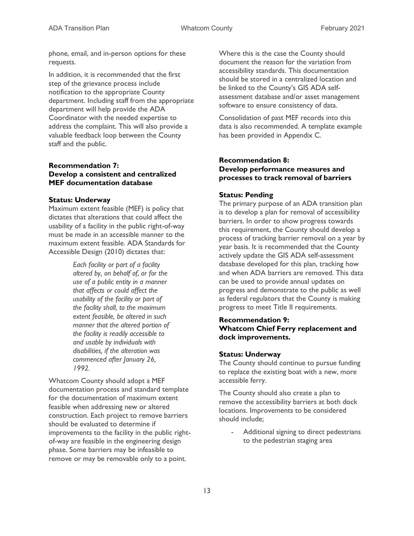phone, email, and in-person options for these requests.

In addition, it is recommended that the first step of the grievance process include notification to the appropriate County department. Including staff from the appropriate department will help provide the ADA Coordinator with the needed expertise to address the complaint. This will also provide a valuable feedback loop between the County staff and the public.

# Recommendation 7: Develop a consistent and centralized MEF documentation database

#### Status: Underway

Maximum extent feasible (MEF) is policy that dictates that alterations that could affect the usability of a facility in the public right-of-way must be made in an accessible manner to the maximum extent feasible. ADA Standards for Accessible Design (2010) dictates that:

> Each facility or part of a facility altered by, on behalf of, or for the use of a public entity in a manner that affects or could affect the usability of the facility or part of the facility shall, to the maximum extent feasible, be altered in such manner that the altered portion of the facility is readily accessible to and usable by individuals with disabilities, if the alteration was commenced after January 26, 1992.

Whatcom County should adopt a MEF documentation process and standard template for the documentation of maximum extent feasible when addressing new or altered construction. Each project to remove barriers should be evaluated to determine if improvements to the facility in the public rightof-way are feasible in the engineering design phase. Some barriers may be infeasible to remove or may be removable only to a point.

Where this is the case the County should document the reason for the variation from accessibility standards. This documentation should be stored in a centralized location and be linked to the County's GIS ADA selfassessment database and/or asset management software to ensure consistency of data.

Consolidation of past MEF records into this data is also recommended. A template example has been provided in Appendix C.

#### Recommendation 8: Develop performance measures and processes to track removal of barriers

#### Status: Pending

The primary purpose of an ADA transition plan is to develop a plan for removal of accessibility barriers. In order to show progress towards this requirement, the County should develop a process of tracking barrier removal on a year by year basis. It is recommended that the County actively update the GIS ADA self-assessment database developed for this plan, tracking how and when ADA barriers are removed. This data can be used to provide annual updates on progress and demonstrate to the public as well as federal regulators that the County is making progress to meet Title II requirements.

# Recommendation 9: Whatcom Chief Ferry replacement and dock improvements.

#### Status: Underway

The County should continue to pursue funding to replace the existing boat with a new, more accessible ferry.

The County should also create a plan to remove the accessibility barriers at both dock locations. Improvements to be considered should include;

Additional signing to direct pedestrians to the pedestrian staging area